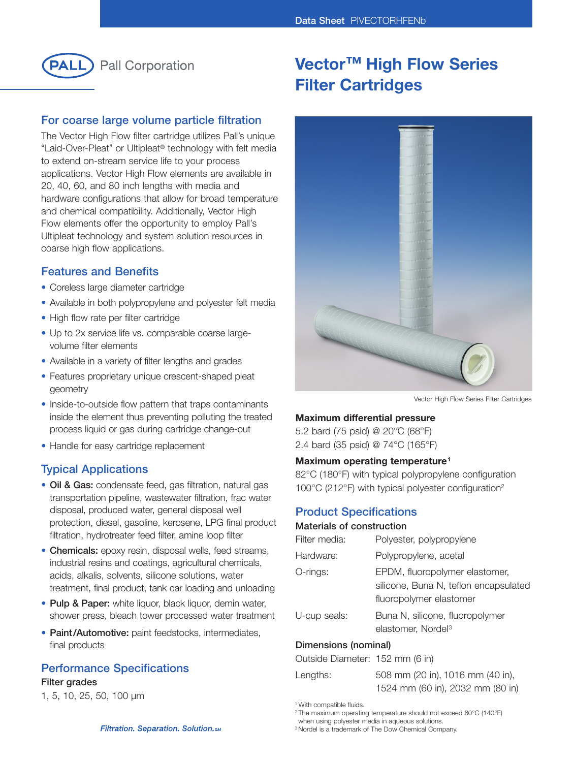

## **For coarse large volume particle filtration**

The Vector High Flow filter cartridge utilizes Pall's unique "Laid-Over-Pleat" or Ultipleat® technology with felt media to extend on-stream service life to your process applications. Vector High Flow elements are available in 20, 40, 60, and 80 inch lengths with media and hardware configurations that allow for broad temperature and chemical compatibility. Additionally, Vector High Flow elements offer the opportunity to employ Pall's Ultipleat technology and system solution resources in coarse high flow applications.

### **Features and Benefits**

- Coreless large diameter cartridge
- Available in both polypropylene and polyester felt media
- High flow rate per filter cartridge
- Up to 2x service life vs. comparable coarse largevolume filter elements
- Available in a variety of filter lengths and grades
- Features proprietary unique crescent-shaped pleat geometry
- Inside-to-outside flow pattern that traps contaminants inside the element thus preventing polluting the treated process liquid or gas during cartridge change-out
- Handle for easy cartridge replacement

## **Typical Applications**

- **Oil & Gas:** condensate feed, gas filtration, natural gas transportation pipeline, wastewater filtration, frac water disposal, produced water, general disposal well protection, diesel, gasoline, kerosene, LPG final product filtration, hydrotreater feed filter, amine loop filter
- **Chemicals:** epoxy resin, disposal wells, feed streams, industrial resins and coatings, agricultural chemicals, acids, alkalis, solvents, silicone solutions, water treatment, final product, tank car loading and unloading
- **Pulp & Paper:** white liquor, black liquor, demin water, shower press, bleach tower processed water treatment
- **Paint/Automotive:** paint feedstocks, intermediates, final products

## **Performance Specifications**

#### **Filter grades**

1, 5, 10, 25, 50, 100 µm

# **Vector™ High Flow Series Filter Cartridges**



Vector High Flow Series Filter Cartridges

#### **Maximum differential pressure**

5.2 bard (75 psid) @ 20°C (68°F) 2.4 bard (35 psid) @ 74°C (165°F)

#### **Maximum operating temperature1**

82°C (180°F) with typical polypropylene configuration 100°C (212°F) with typical polyester configuration2

## **Product Specifications**

#### **Materials of construction**

| Filter media:        | Polyester, polypropylene                                                                           |
|----------------------|----------------------------------------------------------------------------------------------------|
| Hardware:            | Polypropylene, acetal                                                                              |
| O-rings:             | EPDM, fluoropolymer elastomer,<br>silicone, Buna N, teflon encapsulated<br>fluoropolymer elastomer |
| U-cup seals:         | Buna N, silicone, fluoropolymer<br>elastomer, Nordel <sup>3</sup>                                  |
| Dimensions (nominal) |                                                                                                    |

## Outside Diameter: 152 mm (6 in)

| <b>UULOIUS DIGITISIST.</b> TUZ TIIITI (U IITI) |                                  |
|------------------------------------------------|----------------------------------|
| Lengths:                                       | 508 mm (20 in), 1016 mm (40 in), |
|                                                | 1524 mm (60 in), 2032 mm (80 in) |

<sup>1</sup> With compatible fluids.

when using polyester media in aqueous solutions.

<sup>3</sup> Nordel is a trademark of The Dow Chemical Company.

Filtration. Separation. Solution.sm

<sup>2</sup> The maximum operating temperature should not exceed 60°C (140°F)